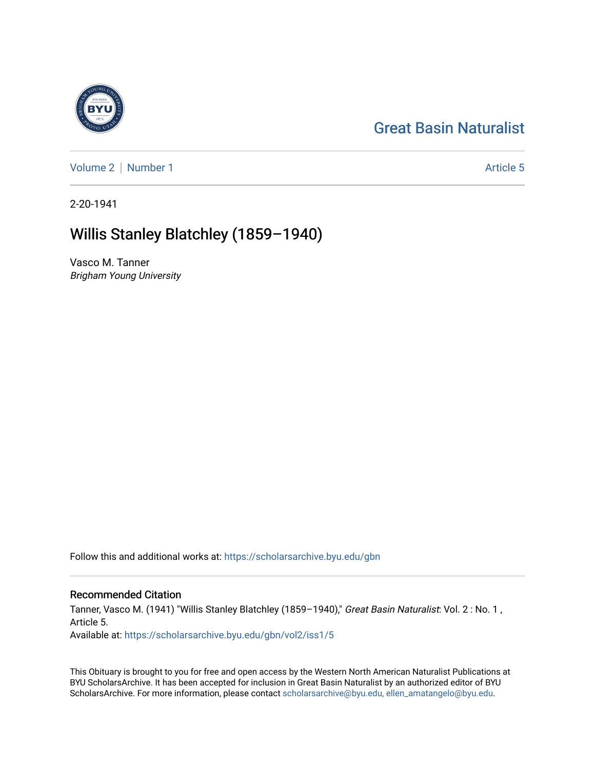# [Great Basin Naturalist](https://scholarsarchive.byu.edu/gbn)

[Volume 2](https://scholarsarchive.byu.edu/gbn/vol2) | [Number 1](https://scholarsarchive.byu.edu/gbn/vol2/iss1) Article 5

2-20-1941

# Willis Stanley Blatchley (1859–1940)

Vasco M. Tanner Brigham Young University

Follow this and additional works at: [https://scholarsarchive.byu.edu/gbn](https://scholarsarchive.byu.edu/gbn?utm_source=scholarsarchive.byu.edu%2Fgbn%2Fvol2%2Fiss1%2F5&utm_medium=PDF&utm_campaign=PDFCoverPages) 

## Recommended Citation

Tanner, Vasco M. (1941) "Willis Stanley Blatchley (1859-1940)," Great Basin Naturalist: Vol. 2: No. 1, Article 5. Available at: [https://scholarsarchive.byu.edu/gbn/vol2/iss1/5](https://scholarsarchive.byu.edu/gbn/vol2/iss1/5?utm_source=scholarsarchive.byu.edu%2Fgbn%2Fvol2%2Fiss1%2F5&utm_medium=PDF&utm_campaign=PDFCoverPages) 

This Obituary is brought to you for free and open access by the Western North American Naturalist Publications at BYU ScholarsArchive. It has been accepted for inclusion in Great Basin Naturalist by an authorized editor of BYU ScholarsArchive. For more information, please contact [scholarsarchive@byu.edu, ellen\\_amatangelo@byu.edu.](mailto:scholarsarchive@byu.edu,%20ellen_amatangelo@byu.edu)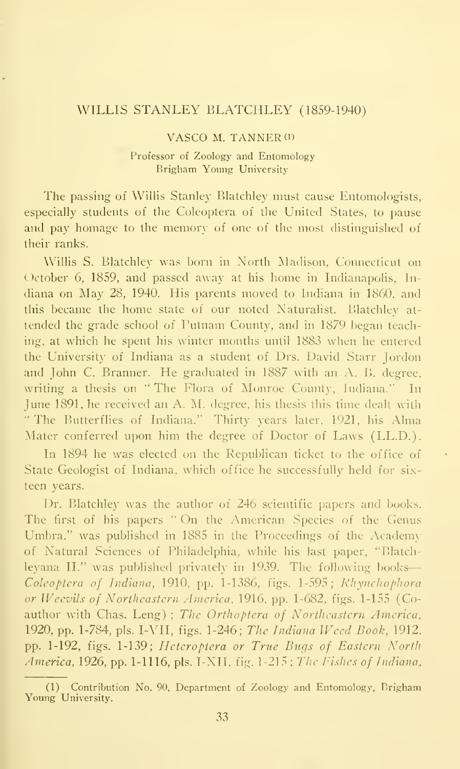### WILLIS STANLEY BLATCHLEY (1859-1940)

### VASCO M. TANNER (1)

### Professor of Zoology and Entomology Brigham Young University

The passing of Willis Stanley Blatchley must cause Entomologists, especially students of the Coleoptera of the United States, to pause and pay homage to the memory of one of the most distinguished of their ranks.

Willis S. Blatchley was born in North Madison, Connecticut on October 6, 1859, and passed away at his home in Indianapolis, In diana on May 28, 1940. His parents moved to Indiana in 1860, and this became the home state of our noted Naturalist. Blatchley at tended the grade school of Putnam Comity, and in 1879 began teaching, at which he spent his winter months until 1883 when he entered the University of Indiana as a student of Drs. David Starr Jordon and John C. Branner. He graduated in 1887 with an A. B. degree, writing a thesis on " The Flora of Monroe County, Indiana." In June 1891, he received an A. M. degree, his thesis this time dealt with "The Butterflies of Indiana." Thirty years later, 1921, his Alma Mater conferred upon him the degree of Doctor of Laws (LL.D.).

In 1894 he was elected on the Republican ticket to the office of State Geologist of Indiana, which office he successfully held for six teen years.

Dr. Blatchley was the author of 246 scientific papers and books. The first of his papers " On the American Species of the Genus Umbra," was published in 1885 in the Proceedings of the Academy of Natural Sciences of Philadelphia, while his last paper, "Blatchleyana II." was published privately in 1939. The following books Coleoptera of Indiana, 1910, pp. 1-1386, figs. 1-595; Rhynchophora or Weevils of Northeastern America, 1916, pp. 1-682, figs. 1-155 (Coauthor with Chas. Leng) ; The Orthoptera of Northeastern America, 1920, pp. 1-784, pis. I-VII, figs. 1-246; The Indiana Weed Book, 1912, pp. 1-192, figs. 1-139; Heteroptera or True Bugs of Eastern North America, 1926, pp. 1-1116, pls. I-XII, fig. 1-215; The Fishes of Indiana,

<sup>(1)</sup> Contribution No. 90, Department of Zoology and Entomology, Erigham Young University.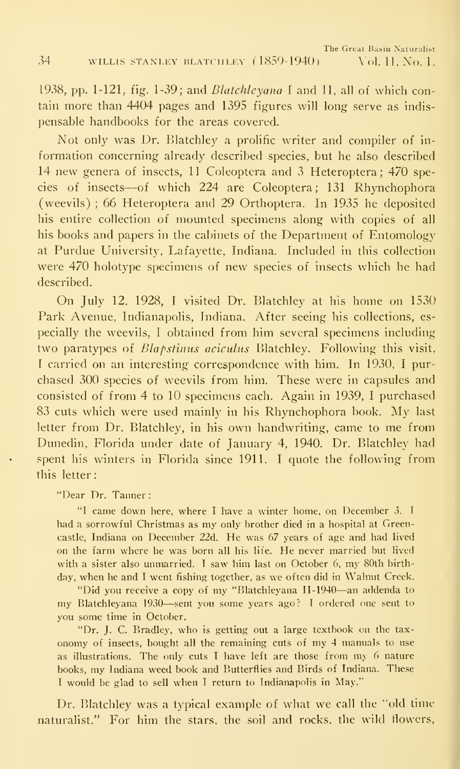1938, pp. 1-121, fig. 1-39; and Blatchleyana <sup>1</sup> and II, all of which contain more than 4404 pages and 1395 figures will long serve as indis pensable handbooks for the areas covered.

Not only was Dr. Blatchley a prolific writer and compiler of information concerning already described species, but he also described 14 new genera of insects, <sup>11</sup> Coleoptera and 3 Heteroptera; 470 species of insects—of which <sup>224</sup> are Coleoptera; <sup>131</sup> Rhynchophora (weevils) ; 66 Heteroptera and 29 Orthoptera. In 1935 he deposited his entire collection of mounted specimens along with copies of all his books and papers in the cabinets of the Department of Entomology at Purdue University, Lafayette, Indiana. Included in this collection were 470 holotype specimens of new species of insects which he had described.

On July 12. 1928, <sup>I</sup> visited Dr. Blatchley at his home on 1530 Park Avenue, Indianapolis, Indiana. After seeing his collections, es pecially the weevils, <sup>I</sup> obtained from him several specimens including two paratypes of Blapstinus aciculus Blatchley. Following this visit, <sup>I</sup> carried on an interesting correspondence with him. In 1930, <sup>I</sup> pur chased 300 species of weevils from him. These were in capsules and consisted of from 4 to 10 specimens each. Again in 1939, <sup>I</sup> purchased <sup>83</sup> cuts which were used mainly in his Rhynchophora book. My last letter from Dr. Blatchley, in his own handwriting, came to me from Dunedin, Florida under date of January 4, 1940. Dr. Blatchley had spent his winters in Florida since 1911. <sup>I</sup> quote the following from this letter:

"Dear Dr. Tanner :

"I came down here, where <sup>I</sup> have a winter home, on December 3. <sup>I</sup> had <sup>a</sup> sorrowful Christmas as my only brother died in <sup>a</sup> hospital at Greencastle, Indiana on December 22d. He was 67 years of age and had lived on the farm where he was born all his life. He never married but lived with <sup>a</sup> sister also unmarried. <sup>I</sup> saw him last on October 6, my 80th birth day, when he and I went fishing together, as we often did in Walnut Creek.

"Did you receive <sup>a</sup> copy of my "Blatchleyana 11-1940—an addenda to my Blatchleyana <sup>1930</sup>—sent you some years ago? <sup>T</sup>ordered one sent to you some time in October.

"Dr. J. C. Bradley, who is getting out <sup>a</sup> large textbook on the tax onomy of insects, bought all the remaining cuts of my 4 manuals to use as illustrations. The only cuts <sup>I</sup> have left are those from my <sup>6</sup> nature books, my Indiana weed book and Butterflies and Birds of Indiana. These <sup>T</sup> would be glad to sell when <sup>I</sup> return to Indianapolis in May."

Dr. Blatchley was a typical example of what we call the "old time" naturalist." For him the stars, the soil and rocks, the wild flowers,